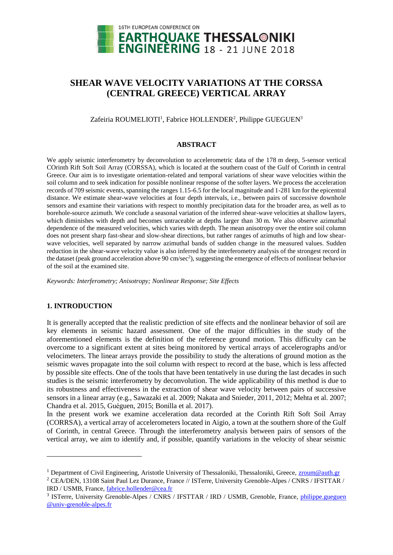

# **SHEAR WAVE VELOCITY VARIATIONS AT THE CORSSA (CENTRAL GREECE) VERTICAL ARRAY**

Zafeiria ROUMELIOTI<sup>1</sup>, Fabrice HOLLENDER<sup>2</sup>, Philippe GUEGUEN<sup>3</sup>

## **ABSTRACT**

We apply seismic interferometry by deconvolution to accelerometric data of the 178 m deep, 5-sensor vertical COrinth Rift Soft Soil Array (CORSSA), which is located at the southern coast of the Gulf of Corinth in central Greece. Our aim is to investigate orientation-related and temporal variations of shear wave velocities within the soil column and to seek indication for possible nonlinear response of the softer layers. We process the acceleration records of 709 seismic events, spanning the ranges 1.15-6.5 for the local magnitude and 1-281 km for the epicentral distance. We estimate shear-wave velocities at four depth intervals, i.e., between pairs of successive downhole sensors and examine their variations with respect to monthly precipitation data for the broader area, as well as to borehole-source azimuth. We conclude a seasonal variation of the inferred shear-wave velocities at shallow layers, which diminishes with depth and becomes untraceable at depths larger than 30 m. We also observe azimuthal dependence of the measured velocities, which varies with depth. The mean anisotropy over the entire soil column does not present sharp fast-shear and slow-shear directions, but rather ranges of azimuths of high and low shearwave velocities, well separated by narrow azimuthal bands of sudden change in the measured values. Sudden reduction in the shear-wave velocity value is also inferred by the interferometry analysis of the strongest record in the dataset (peak ground acceleration above 90 cm/sec<sup>2</sup>), suggesting the emergence of effects of nonlinear behavior of the soil at the examined site.

*Keywords: Interferometry; Anisotropy; Nonlinear Response; Site Effects*

# **1. INTRODUCTION**

l

It is generally accepted that the realistic prediction of site effects and the nonlinear behavior of soil are key elements in seismic hazard assessment. One of the major difficulties in the study of the aforementioned elements is the definition of the reference ground motion. This difficulty can be overcome to a significant extent at sites being monitored by vertical arrays of accelerographs and/or velocimeters. The linear arrays provide the possibility to study the alterations of ground motion as the seismic waves propagate into the soil column with respect to record at the base, which is less affected by possible site effects. One of the tools that have been tentatively in use during the last decades in such studies is the seismic interferometry by deconvolution. The wide applicability of this method is due to its robustness and effectiveness in the extraction of shear wave velocity between pairs of successive sensors in a linear array (e.g., Sawazaki et al. 2009; Nakata and Snieder, 2011, 2012; Mehta et al. 2007; Chandra et al. 2015, Guéguen, 2015; Bonilla et al. 2017).

In the present work we examine acceleration data recorded at the Corinth Rift Soft Soil Array (CORRSA), a vertical array of accelerometers located in Aigio, a town at the southern shore of the Gulf of Corinth, in central Greece. Through the interferometry analysis between pairs of sensors of the vertical array, we aim to identify and, if possible, quantify variations in the velocity of shear seismic

<sup>&</sup>lt;sup>1</sup> Department of Civil Engineering, Aristotle University of Thessaloniki, Thessaloniki, Greece, [zroum@auth.gr](mailto:zroum@auth.gr)

<sup>2</sup> CEA/DEN, 13108 Saint Paul Lez Durance, France // ISTerre, University Grenoble-Alpes / CNRS / IFSTTAR / IRD / USMB, France, [fabrice.hollender@cea.fr](mailto:fabrice.hollender@cea.fr)

<sup>&</sup>lt;sup>3</sup> ISTerre, University Grenoble-Alpes / CNRS / IFSTTAR / IRD / USMB, Grenoble, France, philippe.gueguen [@univ-grenoble-alpes.fr](mailto:philippe.%20gueguen@univ-grenoble-alpes.fr)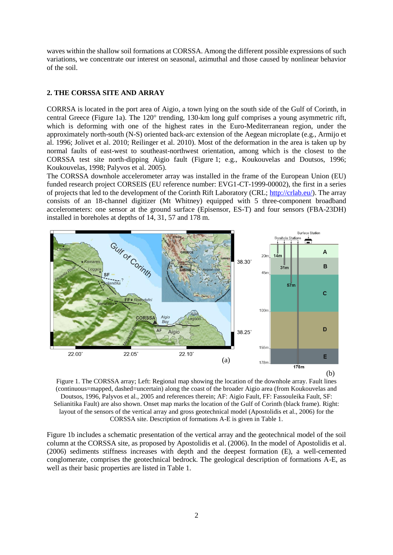waves within the shallow soil formations at CORSSA. Among the different possible expressions of such variations, we concentrate our interest on seasonal, azimuthal and those caused by nonlinear behavior of the soil.

# **2. THE CORSSA SITE AND ARRAY**

CORRSA is located in the port area of Aigio, a town lying on the south side of the Gulf of Corinth, in central Greece (Figure 1a). The 120° trending, 130-km long gulf comprises a young asymmetric rift, which is deforming with one of the highest rates in the Euro-Mediterranean region, under the approximately north-south (N-S) oriented back-arc extension of the Aegean microplate (e.g., Armijo et al. 1996; Jolivet et al. 2010; Reilinger et al. 2010). Most of the deformation in the area is taken up by normal faults of east-west to southeast-northwest orientation, among which is the closest to the CORSSA test site north-dipping Aigio fault (Figure 1; e.g., Koukouvelas and Doutsos, 1996; Koukouvelas, 1998; Palyvos et al. 2005).

The CORSSA downhole accelerometer array was installed in the frame of the European Union (EU) funded research project CORSEIS (EU reference number: EVG1-CT-1999-00002), the first in a series of projects that led to the development of the Corinth Rift Laboratory (CRL; [http://crlab.eu/\)](http://crlab.eu/). The array consists of an 18-channel digitizer (Mt Whitney) equipped with 5 three-component broadband accelerometers: one sensor at the ground surface (Episensor, ES-T) and four sensors (FBA-23DH) installed in boreholes at depths of 14, 31, 57 and 178 m.



Figure 1. The CORSSA array; Left: Regional map showing the location of the downhole array. Fault lines (continuous=mapped, dashed=uncertain) along the coast of the broader Aigio area (from Koukouvelas and Doutsos, 1996, Palyvos et al., 2005 and references therein; AF: Aigio Fault, FF: Fassouleika Fault, SF: Selianitika Fault) are also shown. Onset map marks the location of the Gulf of Corinth (black frame). Right: layout of the sensors of the vertical array and gross geotechnical model (Apostolidis et al., 2006) for the CORSSA site. Description of formations A-E is given in Table 1.

Figure 1b includes a schematic presentation of the vertical array and the geotechnical model of the soil column at the CORSSA site, as proposed by Apostolidis et al. (2006). In the model of Apostolidis et al. (2006) sediments stiffness increases with depth and the deepest formation (E), a well-cemented conglomerate, comprises the geotechnical bedrock. The geological description of formations A-E, as well as their basic properties are listed in Table 1.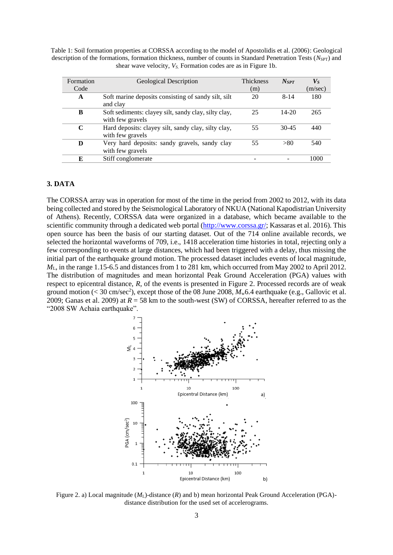Table 1: Soil formation properties at CORSSA according to the model of Apostolidis et al. (2006): Geological description of the formations, formation thickness, number of counts in Standard Penetration Tests (*N<sub>SPT</sub>*) and shear wave velocity, *VS*. Formation codes are as in Figure 1b.

| Formation<br>Code | Geological Description                                                   | <b>Thickness</b><br>(m) | $N_{SPT}$ | $\bm{V}_S$<br>(m/sec) |
|-------------------|--------------------------------------------------------------------------|-------------------------|-----------|-----------------------|
| A                 | Soft marine deposits consisting of sandy silt, silt<br>and clay          | 20                      | $8 - 14$  | 180                   |
| B                 | Soft sediments: clayey silt, sandy clay, silty clay,<br>with few gravels | 25                      | $14 - 20$ | 265                   |
| C                 | Hard deposits: clayey silt, sandy clay, silty clay,<br>with few gravels  | 55                      | $30 - 45$ | 440                   |
| D                 | Very hard deposits: sandy gravels, sandy clay<br>with few gravels        | 55                      | > 80      | 540                   |
| E                 | Stiff conglomerate                                                       |                         |           | 1000                  |

# **3. DATA**

The CORSSA array was in operation for most of the time in the period from 2002 to 2012, with its data being collected and stored by the Seismological Laboratory of NKUA (National Kapodistrian University of Athens). Recently, CORSSA data were organized in a database, which became available to the scientific community through a dedicated web portal [\(http://www.corssa.gr/;](http://www.corssa.gr/) Kassaras et al. 2016). This open source has been the basis of our starting dataset. Out of the 714 online available records, we selected the horizontal waveforms of 709, i.e., 1418 acceleration time histories in total, rejecting only a few corresponding to events at large distances, which had been triggered with a delay, thus missing the initial part of the earthquake ground motion. The processed dataset includes events of local magnitude, *M*L, in the range 1.15-6.5 and distances from 1 to 281 km, which occurred from May 2002 to April 2012. The distribution of magnitudes and mean horizontal Peak Ground Acceleration (PGA) values with respect to epicentral distance, *R*, of the events is presented in Figure 2. Processed records are of weak ground motion ( $<$  30 cm/sec<sup>2</sup>), except those of the 08 June 2008,  $M_w$ 6.4 earthquake (e.g., Gallovic et al. 2009; Ganas et al. 2009) at *R* = 58 km to the south-west (SW) of CORSSA, hereafter referred to as the "2008 SW Achaia earthquake".



Figure 2. a) Local magnitude (*M*L)-distance (*R*) and b) mean horizontal Peak Ground Acceleration (PGA) distance distribution for the used set of accelerograms.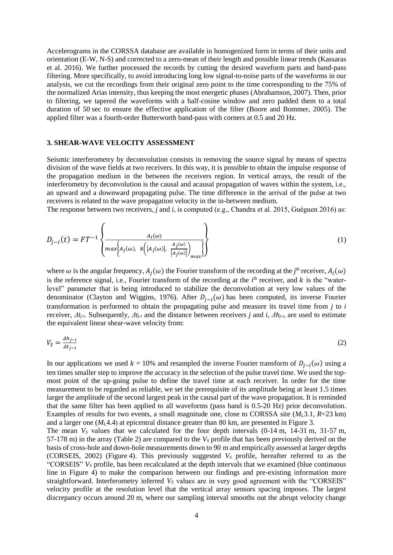Accelerograms in the CORSSA database are available in homogenized form in terms of their units and orientation (E-W, N-S) and corrected to a zero-mean of their length and possible linear trends (Kassaras et al. 2016). We further processed the records by cutting the desired waveform parts and band-pass filtering. More specifically, to avoid introducing long low signal-to-noise parts of the waveforms in our analysis, we cut the recordings from their original zero point to the time corresponding to the 75% of the normalized Arias intensity, thus keeping the most energetic phases (Abrahamson, 2007). Then, prior to filtering, we tapered the waveforms with a half-cosine window and zero padded them to a total duration of 50 sec to ensure the effective application of the filter (Boore and Bommer, 2005). The applied filter was a fourth-order Butterworth band-pass with corners at 0.5 and 20 Hz.

## **3. SHEAR-WAVE VELOCITY ASSESSMENT**

Seismic interferometry by deconvolution consists in removing the source signal by means of spectra division of the wave fields at two receivers. In this way, it is possible to obtain the impulse response of the propagation medium in the between the receivers region. In vertical arrays, the result of the interferometry by deconvolution is the causal and acausal propagation of waves within the system, i.e., an upward and a downward propagating pulse. The time difference in the arrival of the pulse at two receivers is related to the wave propagation velocity in the in-between medium.

The response between two receivers, *j* and *i*, is computed (e.g., Chandra et al. 2015, Guéguen 2016) as:

$$
D_{j-i}(t) = FT^{-1} \left\{ \frac{A_i(\omega)}{\max\left\{ A_j(\omega), \ k\left( |A_j(\omega)|, \ \frac{A_j(\omega)}{|A_j(\omega)|} \right)_{max} \right\}} \right\}
$$
(1)

where  $\omega$  is the angular frequency,  $A_j(\omega)$  the Fourier transform of the recording at the *j*<sup>th</sup> receiver,  $A_i(\omega)$ is the reference signal, i.e., Fourier transform of the recording at the  $i<sup>th</sup>$  receiver, and  $k$  is the "waterlevel" parameter that is being introduced to stabilize the deconvolution at very low values of the denominator (Clayton and Wiggins, 1976). After  $D_{j-i}(\omega)$  has been computed, its inverse Fourier transformation is performed to obtain the propagating pulse and measure its travel time from *j* to *i* receiver,  $\Delta t_{i-i}$ . Subsequently,  $\Delta t_{i-i}$  and the distance between receivers *j* and *i*,  $\Delta h_{i-i}$ , are used to estimate the equivalent linear shear-wave velocity from:

$$
V_S = \frac{\Delta h_{j-i}}{\Delta t_{j-i}}\tag{2}
$$

In our applications we used  $k = 10\%$  and resampled the inverse Fourier transform of  $D_{j-i}(\omega)$  using a ten times smaller step to improve the accuracy in the selection of the pulse travel time. We used the topmost point of the up-going pulse to define the travel time at each receiver. In order for the time measurement to be regarded as reliable, we set the prerequisite of its amplitude being at least 1.5 times larger the amplitude of the second largest peak in the causal part of the wave propagation. It is reminded that the same filter has been applied to all waveforms (pass band is 0.5-20 Hz) prior deconvolution. Examples of results for two events, a small magnitude one, close to CORSSA site  $(M_L, 3.1, R=23 \text{ km})$ and a larger one (*M*L4.4) at epicentral distance greater than 80 km, are presented in Figure 3.

The mean *V<sub>S</sub>* values that we calculated for the four depth intervals (0-14 m, 14-31 m, 31-57 m, 57-178 m) in the array (Table 2) are compared to the *V<sup>S</sup>* profile that has been previously derived on the basis of cross-hole and down-hole measurements down to 90 m and empirically assessed at larger depths (CORSEIS, 2002) (Figure 4). This previously suggested *V<sup>S</sup>* profile, hereafter referred to as the "CORSEIS"  $V_s$  profile, has been recalculated at the depth intervals that we examined (blue continuous line in Figure 4) to make the comparison between our findings and pre-existing information more straightforward. Interferometry inferred *V<sup>S</sup>* values are in very good agreement with the "CORSEIS" velocity profile at the resolution level that the vertical array sensors spacing imposes. The largest discrepancy occurs around 20 m, where our sampling interval smooths out the abrupt velocity change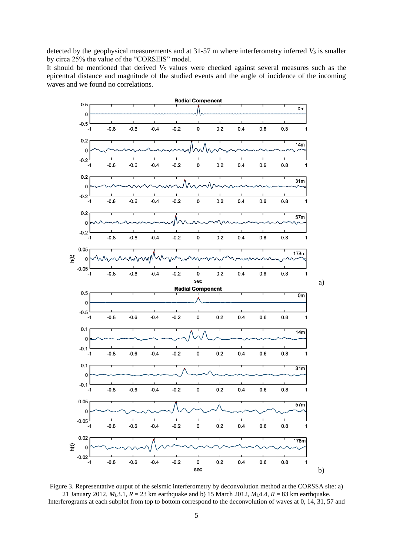detected by the geophysical measurements and at 31-57 m where interferometry inferred *V<sup>S</sup>* is smaller by circa 25% the value of the "CORSEIS" model.

It should be mentioned that derived *V<sup>S</sup>* values were checked against several measures such as the epicentral distance and magnitude of the studied events and the angle of incidence of the incoming waves and we found no correlations.



Figure 3. Representative output of the seismic interferometry by deconvolution method at the CORSSA site: a) 21 January 2012,  $M_L$ 3.1,  $R = 23$  km earthquake and b) 15 March 2012,  $M_L$ 4.4,  $R = 83$  km earthquake. Interferograms at each subplot from top to bottom correspond to the deconvolution of waves at 0, 14, 31, 57 and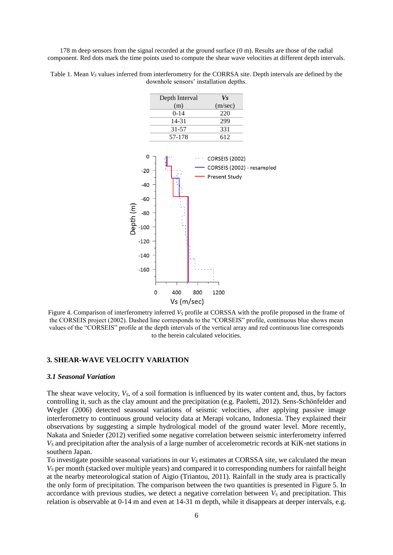178 m deep sensors from the signal recorded at the ground surface (0 m). Results are those of the radial component. Red dots mark the time points used to compute the shear wave velocities at different depth intervals.

Table 1. Mean *V<sup>S</sup>* values inferred from interferometry for the CORRSA site. Depth intervals are defined by the downhole sensors' installation depths.



Figure 4. Comparison of interferometry inferred *V<sup>S</sup>* profile at CORSSA with the profile proposed in the frame of the CORSEIS project (2002). Dashed line corresponds to the "CORSEIS" profile, continuous blue shows mean values of the "CORSEIS" profile at the depth intervals of the vertical array and red continuous line corresponds to the herein calculated velocities.

### **3. SHEAR-WAVE VELOCITY VARIATION**

#### *3.1 Seasonal Variation*

The shear wave velocity, *VS*, of a soil formation is influenced by its water content and, thus, by factors controlling it, such as the clay amount and the precipitation (e.g. Paoletti, 2012). Sens-Schönfelder and Wegler (2006) detected seasonal variations of seismic velocities, after applying passive image interferometry to continuous ground velocity data at Merapi volcano, Indonesia. They explained their observations by suggesting a simple hydrological model of the ground water level. More recently, Nakata and Snieder (2012) verified some negative correlation between seismic interferometry inferred *V<sup>S</sup>* and precipitation after the analysis of a large number of accelerometric records at KiK-net stations in southern Japan.

To investigate possible seasonal variations in our  $V<sub>S</sub>$  estimates at CORSSA site, we calculated the mean *V<sup>S</sup>* per month (stacked over multiple years) and compared it to corresponding numbers for rainfall height at the nearby meteorological station of Aigio (Triantou, 2011). Rainfall in the study area is practically the only form of precipitation. The comparison between the two quantities is presented in Figure 5. In accordance with previous studies, we detect a negative correlation between  $V_s$  and precipitation. This relation is observable at 0-14 m and even at 14-31 m depth, while it disappears at deeper intervals, e.g.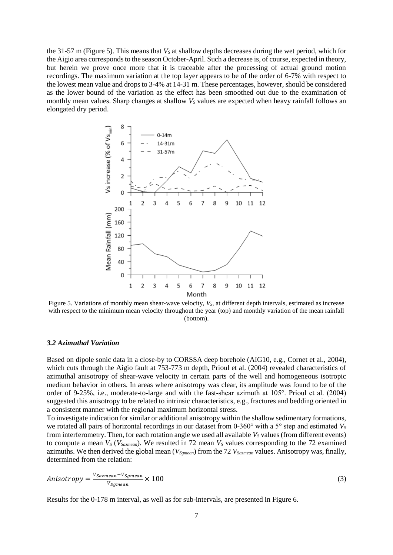the 31-57 m (Figure 5). This means that *V<sup>S</sup>* at shallow depths decreases during the wet period, which for the Aigio area corresponds to the season October-April. Such a decrease is, of course, expected in theory, but herein we prove once more that it is traceable after the processing of actual ground motion recordings. The maximum variation at the top layer appears to be of the order of 6-7% with respect to the lowest mean value and drops to 3-4% at 14-31 m. These percentages, however, should be considered as the lower bound of the variation as the effect has been smoothed out due to the examination of monthly mean values. Sharp changes at shallow  $V<sub>S</sub>$  values are expected when heavy rainfall follows an elongated dry period.



Figure 5. Variations of monthly mean shear-wave velocity, *VS*, at different depth intervals, estimated as increase with respect to the minimum mean velocity throughout the year (top) and monthly variation of the mean rainfall (bottom).

## *3.2 Azimuthal Variation*

Based on dipole sonic data in a close-by to CORSSA deep borehole (AIG10, e.g., Cornet et al., 2004), which cuts through the Aigio fault at 753-773 m depth. Prioul et al. (2004) revealed characteristics of azimuthal anisotropy of shear-wave velocity in certain parts of the well and homogeneous isotropic medium behavior in others. In areas where anisotropy was clear, its amplitude was found to be of the order of 9-25%, i.e., moderate-to-large and with the fast-shear azimuth at 105°. Prioul et al. (2004) suggested this anisotropy to be related to intrinsic characteristics, e.g., fractures and bedding oriented in a consistent manner with the regional maximum horizontal stress.

To investigate indication for similar or additional anisotropy within the shallow sedimentary formations, we rotated all pairs of horizontal recordings in our dataset from 0-360° with a 5° step and estimated *V<sup>S</sup>* from interferometry. Then, for each rotation angle we used all available *V<sup>S</sup>* values (from different events) to compute a mean *V<sup>S</sup>* (*VSazmean*). We resulted in 72 mean *V<sup>S</sup>* values corresponding to the 72 examined azimuths. We then derived the global mean (*V*<sub>Semean</sub>) from the 72 *V*<sub>Sazmean</sub> values. Anisotropy was, finally, determined from the relation:

$$
Anisotropy = \frac{V_{Sazmean} - V_{Sgmean}}{V_{Sgmean}} \times 100\tag{3}
$$

Results for the 0-178 m interval, as well as for sub-intervals, are presented in Figure 6.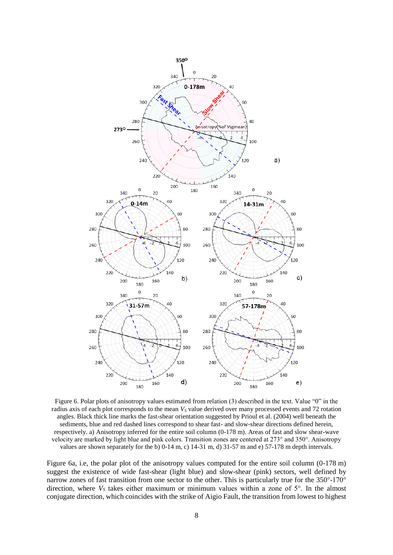

Figure 6. Polar plots of anisotropy values estimated from relation (3) described in the text. Value "0" in the radius axis of each plot corresponds to the mean *V<sup>S</sup>* value derived over many processed events and 72 rotation angles. Black thick line marks the fast-shear orientation suggested by Prioul et al. (2004) well beneath the sediments, blue and red dashed lines correspond to shear fast- and slow-shear directions defined herein, respectively. a) Anisotropy inferred for the entire soil column (0-178 m). Areas of fast and slow shear-wave velocity are marked by light blue and pink colors. Transition zones are centered at 273° and 350°. Anisotropy values are shown separately for the b) 0-14 m, c) 14-31 m, d) 31-57 m and e) 57-178 m depth intervals.

Figure 6a, i.e, the polar plot of the anisotropy values computed for the entire soil column (0-178 m) suggest the existence of wide fast-shear (light blue) and slow-shear (pink) sectors, well defined by narrow zones of fast transition from one sector to the other. This is particularly true for the 350°-170° direction, where *V<sub>S</sub>* takes either maximum or minimum values within a zone of 5°. In the almost conjugate direction, which coincides with the strike of Aigio Fault, the transition from lowest to highest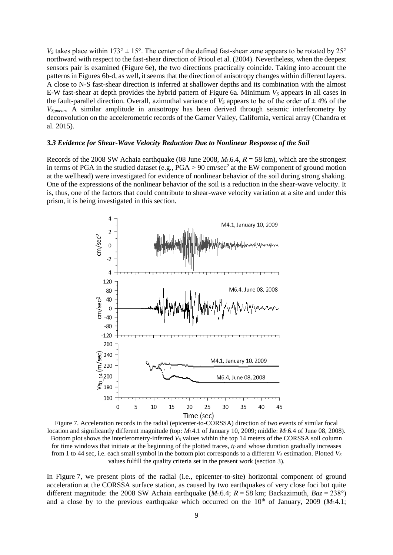$V_s$  takes place within 173°  $\pm$  15°. The center of the defined fast-shear zone appears to be rotated by 25° northward with respect to the fast-shear direction of Prioul et al. (2004). Nevertheless, when the deepest sensors pair is examined (Figure 6e), the two directions practically coincide. Taking into account the patterns in Figures 6b-d, as well, it seems that the direction of anisotropy changes within different layers. A close to N-S fast-shear direction is inferred at shallower depths and its combination with the almost E-W fast-shear at depth provides the hybrid pattern of Figure 6a. Minimum *V<sup>S</sup>* appears in all cases in the fault-parallel direction. Overall, azimuthal variance of  $V_s$  appears to be of the order of  $\pm 4\%$  of the *VSgmean*. A similar amplitude in anisotropy has been derived through seismic interferometry by deconvolution on the accelerometric records of the Garner Valley, California, vertical array (Chandra et al. 2015).

### *3.3 Evidence for Shear-Wave Velocity Reduction Due to Nonlinear Response of the Soil*

Records of the 2008 SW Achaia earthquake (08 June 2008, *M*L6.4, *R* = 58 km), which are the strongest in terms of PGA in the studied dataset (e.g.,  $PGA > 90$  cm/sec<sup>2</sup> at the EW component of ground motion at the wellhead) were investigated for evidence of nonlinear behavior of the soil during strong shaking. One of the expressions of the nonlinear behavior of the soil is a reduction in the shear-wave velocity. It is, thus, one of the factors that could contribute to shear-wave velocity variation at a site and under this prism, it is being investigated in this section.



Figure 7. Acceleration records in the radial (epicenter-to-CORSSA) direction of two events of similar focal location and significantly different magnitude (top:  $M_14.1$  of January 10, 2009; middle:  $M_16.4$  of June 08, 2008). Bottom plot shows the interferometry-inferred *V<sup>S</sup>* values within the top 14 meters of the CORSSA soil column for time windows that initiate at the beginning of the plotted traces, *t<sup>P</sup>* and whose duration gradually increases from 1 to 44 sec, i.e. each small symbol in the bottom plot corresponds to a different  $V_s$  estimation. Plotted  $V_s$ values fulfill the quality criteria set in the present work (section 3).

In Figure 7, we present plots of the radial (i.e., epicenter-to-site) horizontal component of ground acceleration at the CORSSA surface station, as caused by two earthquakes of very close foci but quite different magnitude: the 2008 SW Achaia earthquake ( $M_L$ 6.4;  $R = 58$  km; Backazimuth,  $Baz = 238^\circ$ ) and a close by to the previous earthquake which occurred on the  $10<sup>th</sup>$  of January, 2009 (*M*<sub>1</sub>.4.1;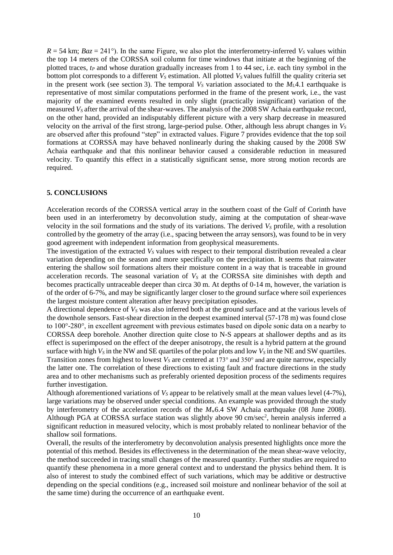$R = 54$  km;  $Baz = 241^{\circ}$ ). In the same Figure, we also plot the interferometry-inferred *V<sub>S</sub>* values within the top 14 meters of the CORSSA soil column for time windows that initiate at the beginning of the plotted traces, *t<sup>P</sup>* and whose duration gradually increases from 1 to 44 sec, i.e. each tiny symbol in the bottom plot corresponds to a different  $V_s$  estimation. All plotted  $V_s$  values fulfill the quality criteria set in the present work (see section 3). The temporal  $V_s$  variation associated to the  $M_L$ 4.1 earthquake is representative of most similar computations performed in the frame of the present work, i.e., the vast majority of the examined events resulted in only slight (practically insignificant) variation of the measured *V<sup>S</sup>* after the arrival of the shear-waves. The analysis of the 2008 SW Achaia earthquake record, on the other hand, provided an indisputably different picture with a very sharp decrease in measured velocity on the arrival of the first strong, large-period pulse. Other, although less abrupt changes in *V<sup>S</sup>* are observed after this profound "step" in extracted values. Figure 7 provides evidence that the top soil formations at CORSSA may have behaved nonlinearly during the shaking caused by the 2008 SW Achaia earthquake and that this nonlinear behavior caused a considerable reduction in measured velocity. To quantify this effect in a statistically significant sense, more strong motion records are required.

## **5. CONCLUSIONS**

Acceleration records of the CORSSA vertical array in the southern coast of the Gulf of Corinth have been used in an interferometry by deconvolution study, aiming at the computation of shear-wave velocity in the soil formations and the study of its variations. The derived  $V<sub>S</sub>$  profile, with a resolution controlled by the geometry of the array (i.e., spacing between the array sensors), was found to be in very good agreement with independent information from geophysical measurements.

The investigation of the extracted *V<sup>S</sup>* values with respect to their temporal distribution revealed a clear variation depending on the season and more specifically on the precipitation. It seems that rainwater entering the shallow soil formations alters their moisture content in a way that is traceable in ground acceleration records. The seasonal variation of  $V<sub>S</sub>$  at the CORSSA site diminishes with depth and becomes practically untraceable deeper than circa 30 m. At depths of 0-14 m, however, the variation is of the order of 6-7%, and may be significantly larger closer to the ground surface where soil experiences the largest moisture content alteration after heavy precipitation episodes.

A directional dependence of *V<sup>S</sup>* was also inferred both at the ground surface and at the various levels of the downhole sensors. Fast-shear direction in the deepest examined interval (57-178 m) was found close to 100°-280°, in excellent agreement with previous estimates based on dipole sonic data on a nearby to CORSSA deep borehole. Another direction quite close to N-S appears at shallower depths and as its effect is superimposed on the effect of the deeper anisotropy, the result is a hybrid pattern at the ground surface with high *V<sup>S</sup>* in the NW and SE quartiles of the polar plots and low *V<sup>S</sup>* in the NE and SW quartiles. Transition zones from highest to lowest  $V_s$  are centered at 173° and 350° and are quite narrow, especially the latter one. The correlation of these directions to existing fault and fracture directions in the study area and to other mechanisms such as preferably oriented deposition process of the sediments requires further investigation.

Although aforementioned variations of *V<sup>S</sup>* appear to be relatively small at the mean values level (4-7%), large variations may be observed under special conditions. An example was provided through the study by interferometry of the acceleration records of the *M<sub>w</sub>*6.4 SW Achaia earthquake (08 June 2008). Although PGA at CORSSA surface station was slightly above 90 cm/sec<sup>2</sup>, herein analysis inferred a significant reduction in measured velocity, which is most probably related to nonlinear behavior of the shallow soil formations.

Overall, the results of the interferometry by deconvolution analysis presented highlights once more the potential of this method. Besides its effectiveness in the determination of the mean shear-wave velocity, the method succeeded in tracing small changes of the measured quantity. Further studies are required to quantify these phenomena in a more general context and to understand the physics behind them. It is also of interest to study the combined effect of such variations, which may be additive or destructive depending on the special conditions (e.g., increased soil moisture and nonlinear behavior of the soil at the same time) during the occurrence of an earthquake event.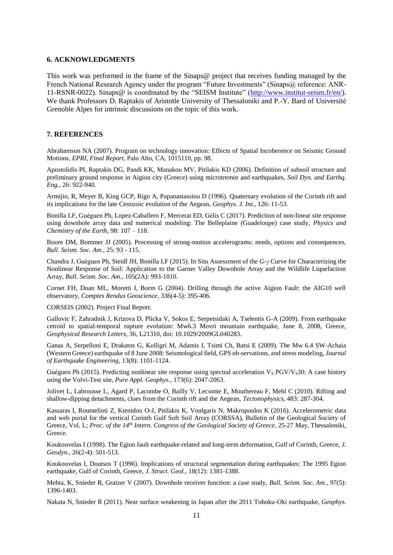### **6. ACKNOWLEDGMENTS**

This work was performed in the frame of the Sinaps@ project that receives funding managed by the French National Research Agency under the program "Future Investments" (Sinaps@ reference: ANR-11-RSNR-0022). Sinaps@ is coordinated by the "SEISM Institute" [\(http://www.institut-seism.fr/en/\)](http://www.institut-seism.fr/en/). We thank Professors D. Raptakis of Aristotle University of Thessaloniki and P.-Y. Bard of Université Grenoble Alpes for intrinsic discussions on the topic of this work.

### **7. REFERENCES**

Abrahamson NA (2007). Program on technology innovation: Effects of Spatial Incoherence on Seismic Ground Motions, *EPRI, Final Report*, Palo Alto, CA, 1015110, pp. 98.

Apostolidis PI, Raptakis DG, Pandi KK, Manakou MV, Pitilakis KD (2006). Definition of subsoil structure and preliminary ground response in Aigion city (Greece) using microtremor and earthquakes, *Soil Dyn. and Earthq. Eng.*, 26: 922-940.

Armijio, R, Meyer B, King GCP, Rigo A, Papanastassiou D (1996). Quaternary evolution of the Corinth rift and its implications for the late Cenozoic evolution of the Aegean, *Geophys. J. Int.*, 126: 11-53.

Bonilla LF, Guéguen Ph, Lopez-Caballero F, Mercerat ED, Gélis C (2017). Prediction of non-linear site response using downhole array data and numerical modeling: The Belleplaine (Guadeloupe) case study, *Physics and Chemistry of the Earth*, 98: 107 – 118.

Boore DM, Bommer JJ (2005). Processing of strong-motion accelerograms: needs, options and consequences, *Bull. Seism. Soc. Am.*, 25: 93 - 115.

Chandra J, Guéguen Ph, Steidl JH, Bonilla LF (2015). In Situ Assessment of the *G-γ* Curve for Characterizing the Nonlinear Response of Soil: Application to the Garner Valley Downhole Array and the Wildlife Liquefaction Array, *Bull. Seism. Soc. Am.*, 105(2A): 993-1010.

Cornet FH, Doan ML, Moretti I, Borm G (2004). Drilling through the active Aigion Fault: the AIG10 well observatory, *Comptes Rendus Geoscience,* 336(4-5): 395-406.

CORSEIS (2002). Project Final Report.

Gallovic F, Zahradnik J, Krizova D, Plicka V, Sokos E, Serpetsidaki A, Tselentis G-A (2009). From earthquake cetroid to spatial-temporal rupture evolution: Mw6.3 Movri mountain earthquake, June 8, 2008, Greece, *Geophysical Research Letters*, 36, L21310, doi: 10.1029/2009GL040283.

Ganas A, Serpelloni E, Drakatos G, Kolligri Μ, Adamis I, Tsimi Ch, Batsi E (2009). The Mw 6.4 SW-Achaia (Western Greece) earthquake of 8 June 2008: Seismological field, GPS ob-servations, and stress modeling, *Journal of Earthquake Engineering*, 13(8): 1101-1124.

Guéguen Ph (2015). Predicting nonlinear site response using spectral acceleration  $V_s$  PGV/Vs30: A case history using the Volvi-Test site, *Pure Appl. Geophys.*, 173(6): 2047-2063.

Jolivet L, Labrousse L, Agard P, Lacombe O, Bailly V, Lecomte E, Mouthereau F, Mehl C (2010). Rifting and shallow-dipping detachments, clues from the Corinth rift and the Aegean, *Tectonophysics*, 483: 287-304.

Kassaras I, Roumelioti Z, Ktenidou O-J, Pitilakis K, Voulgaris N, Makropoulos K (2016). Accelerometric data and web portal for the vertical Corinth Gulf Soft Soil Array (CORSSA), Bulletin of the Geological Society of Greece, Vol. L; *Proc. of the 14th Intern. Congress of the Geological Society of Greece*, 25-27 May, Thessaloniki, Greece.

Koukouvelas I (1998). The Egion fault earthquake-related and long-term deformation, Gulf of Corinth, Greece, *J. Geodyn.*, 26(2-4): 501-513.

Koukouvelas I, Doutsos T (1996). Implications of structural segmentation during earthquakes: The 1995 Egion earthquake, Gulf of Corinth, Greece, *J. Struct. Geol.*, 18(12): 1381-1388.

Mehta, K, Snieder R, Graizer V (2007). Downhole receiver function: a case study, *Bull. Seism. Soc. Am.,* 97(5): 1396-1403.

Nakata N, Snieder R (2011). Near surface weakening in Japan after the 2011 Tohoku-Oki earthquake, *Geophys.*